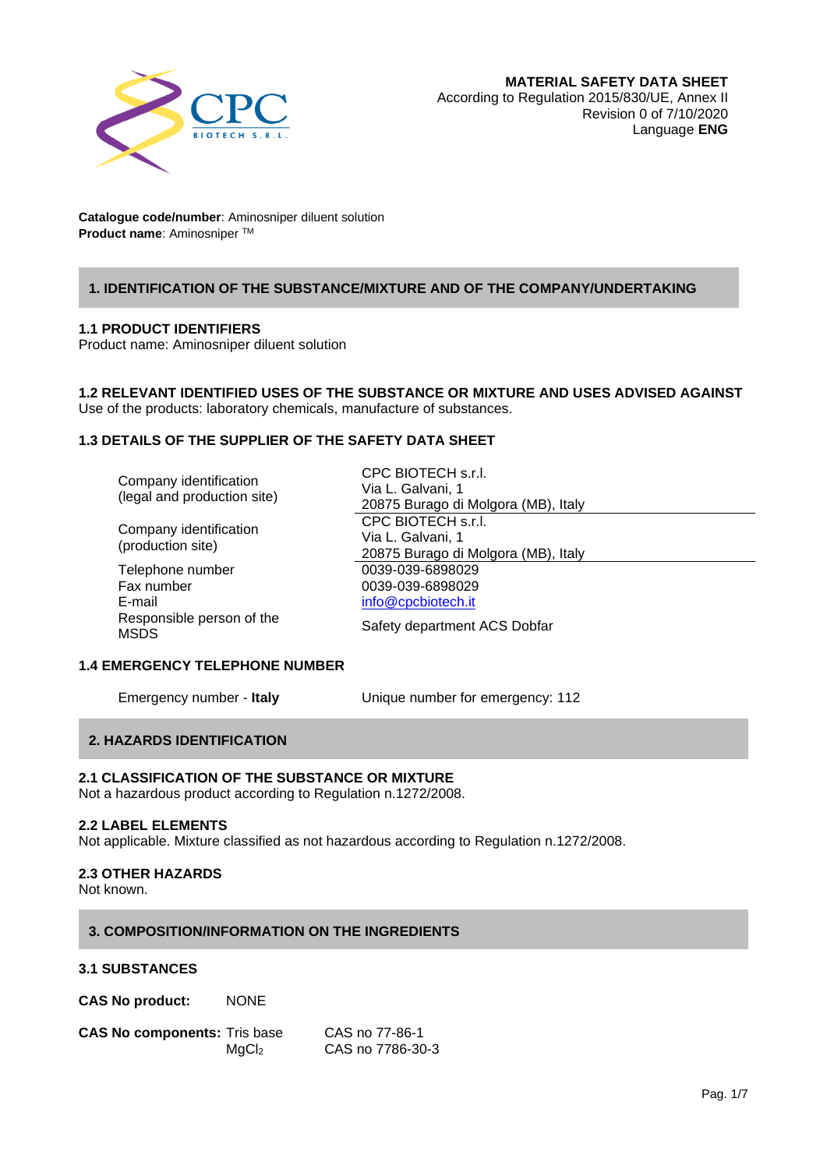

## **1. IDENTIFICATION OF THE SUBSTANCE/MIXTURE AND OF THE COMPANY/UNDERTAKING**

#### **1.1 PRODUCT IDENTIFIERS**

Product name: Aminosniper diluent solution

# **1.2 RELEVANT IDENTIFIED USES OF THE SUBSTANCE OR MIXTURE AND USES ADVISED AGAINST**

CPC BIOTECH s.r.l. Via L. Galvani, 1

Use of the products: laboratory chemicals, manufacture of substances.

## **1.3 DETAILS OF THE SUPPLIER OF THE SAFETY DATA SHEET**

| Company identification      |  |  |
|-----------------------------|--|--|
| (legal and production site) |  |  |

Company identification (production site) Telephone number 0039-039-6898029

| Fax number                |
|---------------------------|
| E-mail                    |
| Responsible person of the |
| MSDS                      |

20875 Burago di Molgora (MB), Italy CPC BIOTECH s.r.l. Via L. Galvani, 1 20875 Burago di Molgora (MB), Italy 0039-039-6898029 [info@cpcbiotech.it](mailto:info@cpcbiotech.it)

Safety department ACS Dobfar

## **1.4 EMERGENCY TELEPHONE NUMBER**

Emergency number - **Italy** Unique number for emergency: 112

## **2. HAZARDS IDENTIFICATION**

#### **2.1 CLASSIFICATION OF THE SUBSTANCE OR MIXTURE**

Not a hazardous product according to Regulation n.1272/2008.

## **2.2 LABEL ELEMENTS**

Not applicable. Mixture classified as not hazardous according to Regulation n.1272/2008.

## **2.3 OTHER HAZARDS**

Not known.

#### **3. COMPOSITION/INFORMATION ON THE INGREDIENTS**

#### **3.1 SUBSTANCES**

**CAS No product:** NONE

| <b>CAS No components: Tris base</b> |                   | CAS no 77-86-1   |
|-------------------------------------|-------------------|------------------|
|                                     | MqCl <sub>2</sub> | CAS no 7786-30-3 |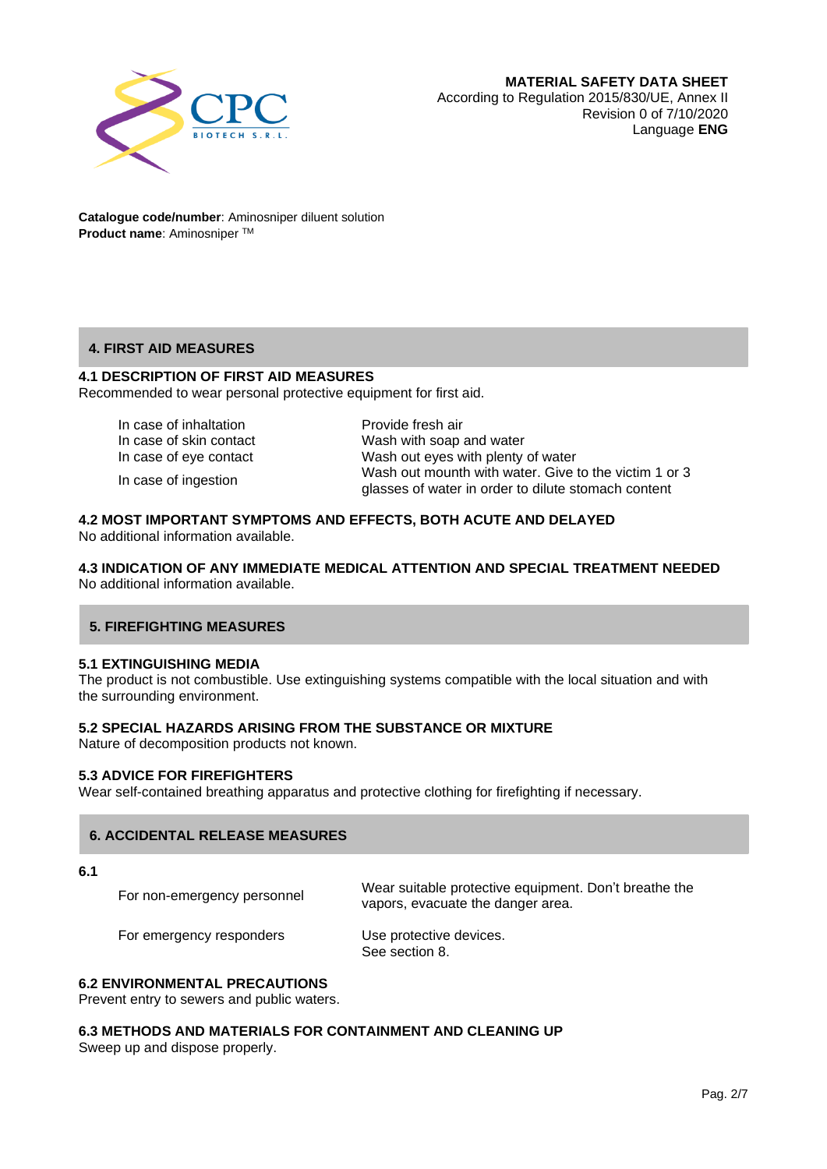

## **4. FIRST AID MEASURES**

## **4.1 DESCRIPTION OF FIRST AID MEASURES**

Recommended to wear personal protective equipment for first aid.

In case of inhaltation **Provide fresh air** 

In case of ingestion

In case of skin contact Wash with soap and water In case of eye contact Wash out eyes with plenty of water Wash out mounth with water. Give to the victim 1 or 3 glasses of water in order to dilute stomach content

#### **4.2 MOST IMPORTANT SYMPTOMS AND EFFECTS, BOTH ACUTE AND DELAYED**

No additional information available.

**4.3 INDICATION OF ANY IMMEDIATE MEDICAL ATTENTION AND SPECIAL TREATMENT NEEDED** No additional information available.

## **5. FIREFIGHTING MEASURES**

#### **5.1 EXTINGUISHING MEDIA**

The product is not combustible. Use extinguishing systems compatible with the local situation and with the surrounding environment.

#### **5.2 SPECIAL HAZARDS ARISING FROM THE SUBSTANCE OR MIXTURE**

Nature of decomposition products not known.

#### **5.3 ADVICE FOR FIREFIGHTERS**

Wear self-contained breathing apparatus and protective clothing for firefighting if necessary.

#### **6. ACCIDENTAL RELEASE MEASURES**

**6.1** 

For non-emergency personnel Wear suitable protective equipment. Don't breathe the vapors, evacuate the danger area.

For emergency responders Use protective devices.

See section 8.

#### **6.2 ENVIRONMENTAL PRECAUTIONS**

Prevent entry to sewers and public waters.

#### **6.3 METHODS AND MATERIALS FOR CONTAINMENT AND CLEANING UP**

Sweep up and dispose properly.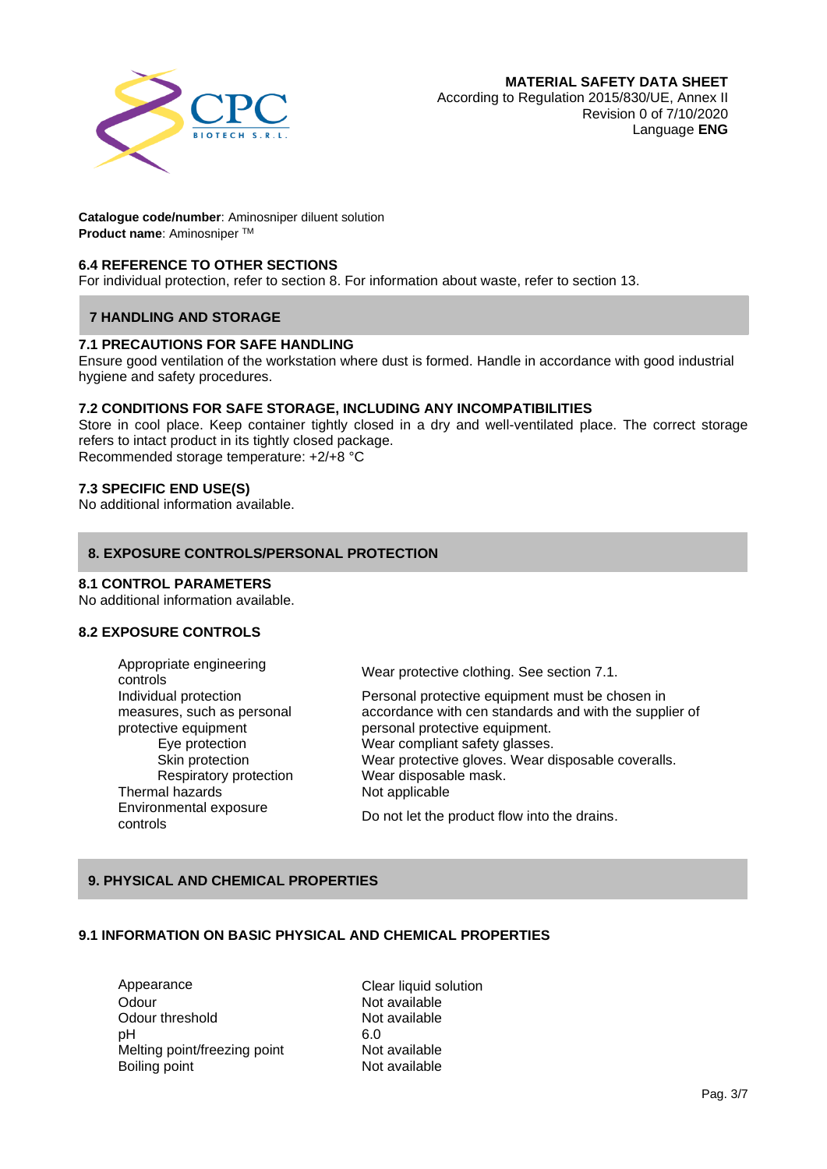

## **6.4 REFERENCE TO OTHER SECTIONS**

For individual protection, refer to section 8. For information about waste, refer to section 13.

#### **7 HANDLING AND STORAGE**

#### **7.1 PRECAUTIONS FOR SAFE HANDLING**

Ensure good ventilation of the workstation where dust is formed. Handle in accordance with good industrial hygiene and safety procedures.

#### **7.2 CONDITIONS FOR SAFE STORAGE, INCLUDING ANY INCOMPATIBILITIES**

Store in cool place. Keep container tightly closed in a dry and well-ventilated place. The correct storage refers to intact product in its tightly closed package. Recommended storage temperature: +2/+8 °C

#### **7.3 SPECIFIC END USE(S)**

No additional information available.

#### **8. EXPOSURE CONTROLS/PERSONAL PROTECTION**

#### **8.1 CONTROL PARAMETERS**

No additional information available.

#### **8.2 EXPOSURE CONTROLS**

Appropriate engineering Individual protection measures, such as personal protective equipment Thermal hazards Not applicable Environmental exposure

Wear protective clothing. See section 7.1.

Personal protective equipment must be chosen in accordance with cen standards and with the supplier of personal protective equipment. Eye protection Wear compliant safety glasses. Skin protection Wear protective gloves. Wear disposable coveralls. Respiratory protection Wear disposable mask.

controls Do not let the product flow into the drains.

## **9. PHYSICAL AND CHEMICAL PROPERTIES**

#### **9.1 INFORMATION ON BASIC PHYSICAL AND CHEMICAL PROPERTIES**

Appearance Clear liquid solution Odour Not available Odour threshold Not available<br>
bH 6.0 pH 6.0 Melting point/freezing point Not available Boiling point **Not available**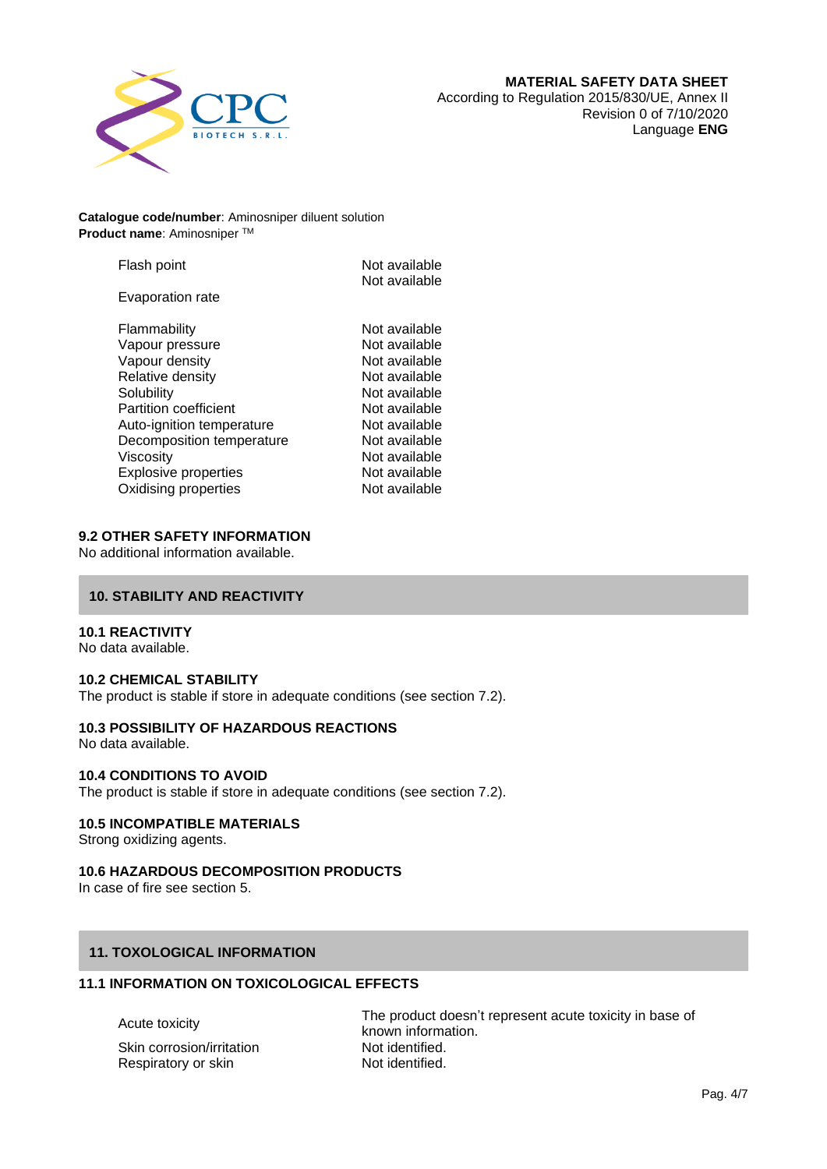

| Flash point                  | Not available<br>Not available |
|------------------------------|--------------------------------|
| Evaporation rate             |                                |
| Flammability                 | Not available                  |
| Vapour pressure              | Not available                  |
| Vapour density               | Not available                  |
| Relative density             | Not available                  |
| Solubility                   | Not available                  |
| <b>Partition coefficient</b> | Not available                  |
| Auto-ignition temperature    | Not available                  |
| Decomposition temperature    | Not available                  |
| Viscosity                    | Not available                  |
| <b>Explosive properties</b>  | Not available                  |
| Oxidising properties         | Not available                  |

#### **9.2 OTHER SAFETY INFORMATION**

No additional information available.

## **10. STABILITY AND REACTIVITY**

#### **10.1 REACTIVITY**

No data available.

#### **10.2 CHEMICAL STABILITY**

The product is stable if store in adequate conditions (see section 7.2).

## **10.3 POSSIBILITY OF HAZARDOUS REACTIONS**

No data available.

#### **10.4 CONDITIONS TO AVOID**

The product is stable if store in adequate conditions (see section 7.2).

#### **10.5 INCOMPATIBLE MATERIALS**

Strong oxidizing agents.

#### **10.6 HAZARDOUS DECOMPOSITION PRODUCTS**

In case of fire see section 5.

## **11. TOXOLOGICAL INFORMATION**

## **11.1 INFORMATION ON TOXICOLOGICAL EFFECTS**

Skin corrosion/irritation Respiratory or skin Not identified.

Acute toxicity The product doesn't represent acute toxicity in base of known information.<br>Not identified.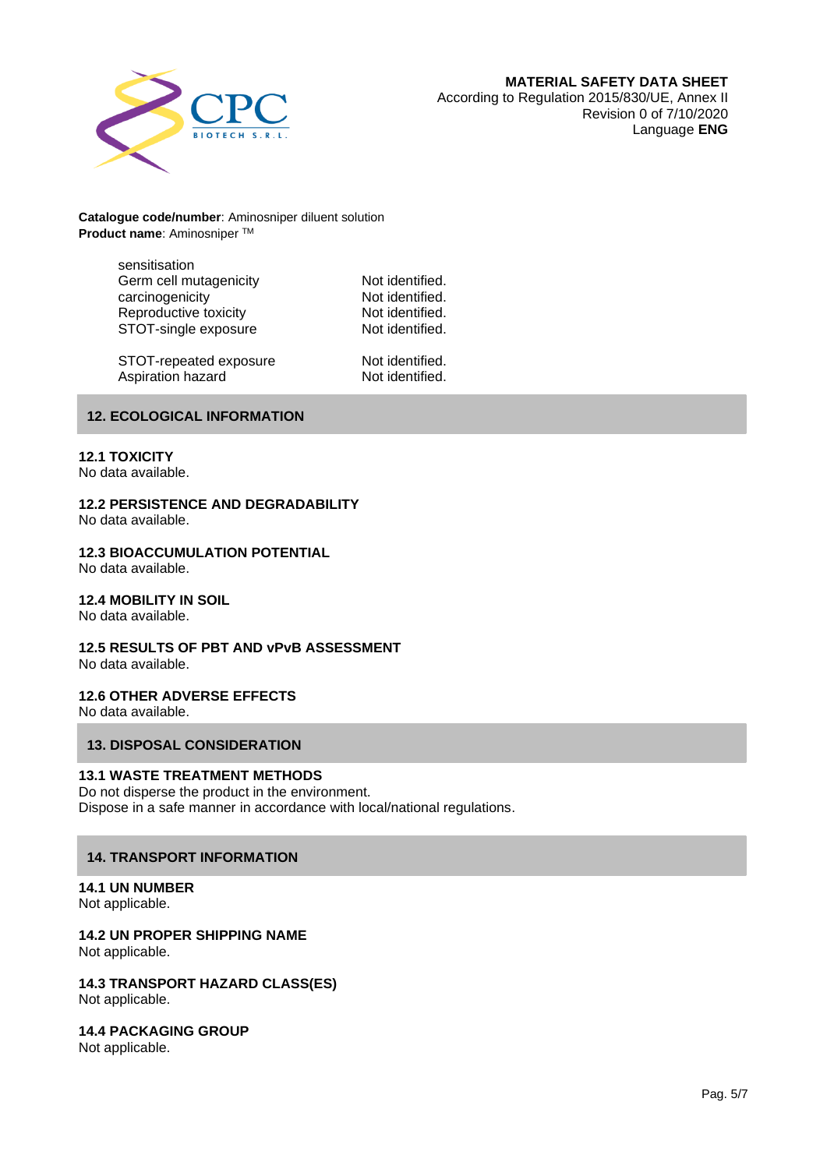

sensitisation Germ cell mutagenicity **Not identified.**<br>
Carcinogenicity **Not identified.** carcinogenicity **Carcinogenicity** Not identified.<br>
Reproductive toxicity **Notes Not identified.** Reproductive toxicity **Not identified.**<br>STOT-single exposure **Not identified.** STOT-single exposure

STOT-repeated exposure Not identified. Aspiration hazard Not identified.

#### **12. ECOLOGICAL INFORMATION**

#### **12.1 TOXICITY**

No data available.

#### **12.2 PERSISTENCE AND DEGRADABILITY**

No data available.

#### **12.3 BIOACCUMULATION POTENTIAL**

No data available.

## **12.4 MOBILITY IN SOIL**

No data available.

# **12.5 RESULTS OF PBT AND vPvB ASSESSMENT**

No data available.

## **12.6 OTHER ADVERSE EFFECTS**

No data available.

## **13. DISPOSAL CONSIDERATION**

#### **13.1 WASTE TREATMENT METHODS**

Do not disperse the product in the environment. Dispose in a safe manner in accordance with local/national regulations.

## **14. TRANSPORT INFORMATION**

# **14.1 UN NUMBER**

Not applicable.

## **14.2 UN PROPER SHIPPING NAME**

Not applicable.

#### **14.3 TRANSPORT HAZARD CLASS(ES)** Not applicable.

**14.4 PACKAGING GROUP**

Not applicable.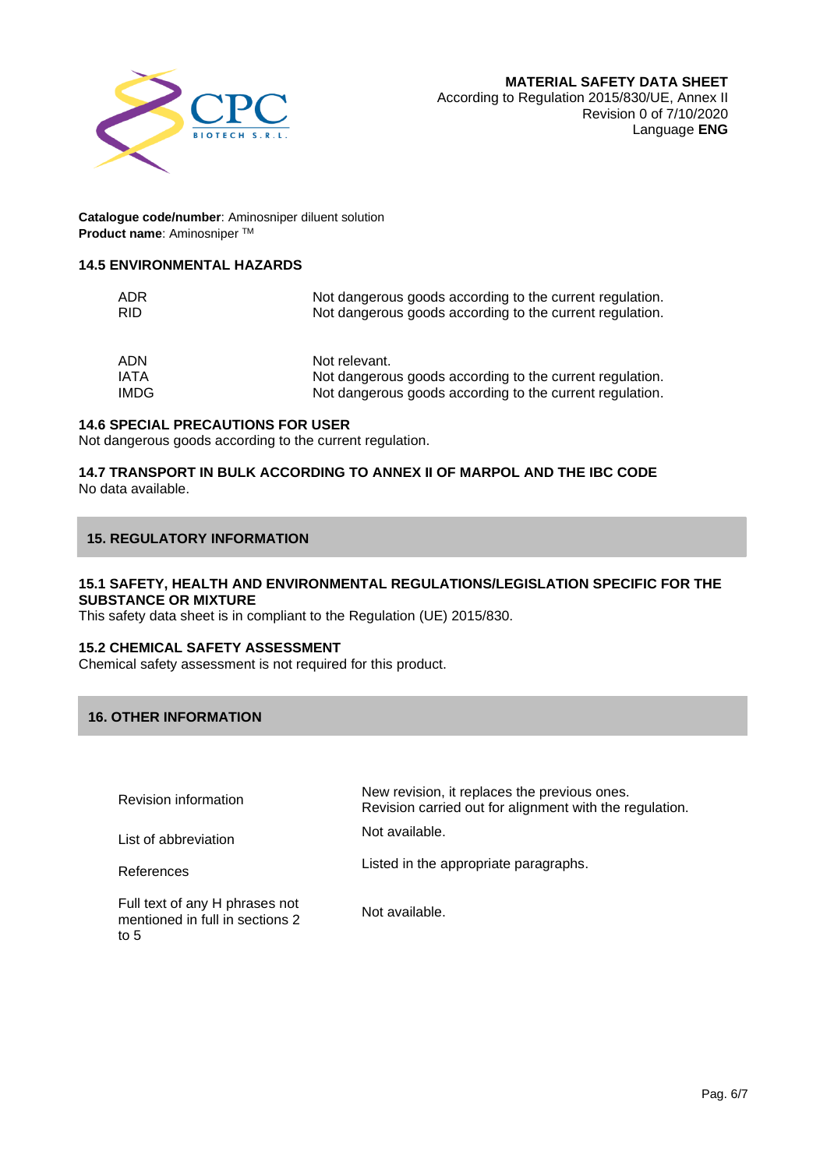

#### **14.5 ENVIRONMENTAL HAZARDS**

| ADR<br>RID. | Not dangerous goods according to the current regulation.<br>Not dangerous goods according to the current regulation. |
|-------------|----------------------------------------------------------------------------------------------------------------------|
| ADN         | Not relevant.                                                                                                        |
| IATA        | Not dangerous goods according to the current regulation.                                                             |
| <b>IMDG</b> | Not dangerous goods according to the current regulation.                                                             |

#### **14.6 SPECIAL PRECAUTIONS FOR USER**

Not dangerous goods according to the current regulation.

## **14.7 TRANSPORT IN BULK ACCORDING TO ANNEX II OF MARPOL AND THE IBC CODE** No data available.

#### **15. REGULATORY INFORMATION**

#### **15.1 SAFETY, HEALTH AND ENVIRONMENTAL REGULATIONS/LEGISLATION SPECIFIC FOR THE SUBSTANCE OR MIXTURE**

This safety data sheet is in compliant to the Regulation (UE) 2015/830.

#### **15.2 CHEMICAL SAFETY ASSESSMENT**

Chemical safety assessment is not required for this product.

## **16. OTHER INFORMATION**

| <b>Revision information</b>                                                 | New revision, it replaces the previous ones.<br>Revision carried out for alignment with the regulation. |
|-----------------------------------------------------------------------------|---------------------------------------------------------------------------------------------------------|
| List of abbreviation                                                        | Not available.                                                                                          |
| References                                                                  | Listed in the appropriate paragraphs.                                                                   |
| Full text of any H phrases not<br>mentioned in full in sections 2<br>to $5$ | Not available.                                                                                          |